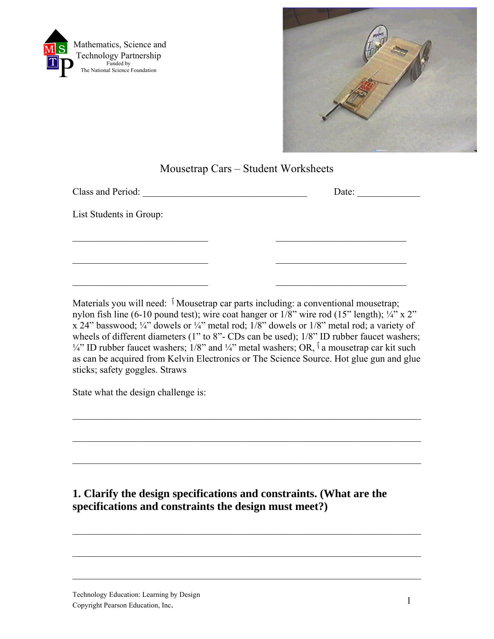



## Mousetrap Cars – Student Worksheets

Materials you will need: <sup>↑</sup> Mousetrap car parts including: a conventional mousetrap; nylon fish line (6-10 pound test); wire coat hanger or  $1/8$ " wire rod (15" length);  $\frac{1}{4}$ " x 2" x 24" basswood;  $\frac{1}{4}$ " dowels or  $\frac{1}{4}$ " metal rod;  $\frac{1}{8}$ " dowels or  $\frac{1}{8}$ " metal rod; a variety of wheels of different diameters (1" to 8"- CDs can be used); 1/8" ID rubber faucet washers;  $\frac{1}{4}$ " ID rubber faucet washers; 1/8" and  $\frac{1}{4}$ " metal washers; OR,  $\frac{1}{4}$  a mousetrap car kit such as can be acquired from Kelvin Electronics or The Science Source. Hot glue gun and glue sticks; safety goggles. Straws

 $\mathcal{L}_\text{max}$  , and the contribution of the contribution of the contribution of the contribution of the contribution of the contribution of the contribution of the contribution of the contribution of the contribution of t

 $\mathcal{L}_\text{max}$  , and the contribution of the contribution of the contribution of the contribution of the contribution of the contribution of the contribution of the contribution of the contribution of the contribution of t

 $\mathcal{L}_\text{max} = \mathcal{L}_\text{max} = \mathcal{L}_\text{max} = \mathcal{L}_\text{max} = \mathcal{L}_\text{max} = \mathcal{L}_\text{max} = \mathcal{L}_\text{max} = \mathcal{L}_\text{max} = \mathcal{L}_\text{max} = \mathcal{L}_\text{max} = \mathcal{L}_\text{max} = \mathcal{L}_\text{max} = \mathcal{L}_\text{max} = \mathcal{L}_\text{max} = \mathcal{L}_\text{max} = \mathcal{L}_\text{max} = \mathcal{L}_\text{max} = \mathcal{L}_\text{max} = \mathcal{$ 

 $\mathcal{L}_\text{max}$  , and the contribution of the contribution of the contribution of the contribution of the contribution of the contribution of the contribution of the contribution of the contribution of the contribution of t

 $\mathcal{L}_\text{max}$  , and the contribution of the contribution of the contribution of the contribution of the contribution of the contribution of the contribution of the contribution of the contribution of the contribution of t

 $\mathcal{L}_\text{max}$  , and the contribution of the contribution of the contribution of the contribution of the contribution of the contribution of the contribution of the contribution of the contribution of the contribution of t

State what the design challenge is:

# **1. Clarify the design specifications and constraints. (What are the specifications and constraints the design must meet?)**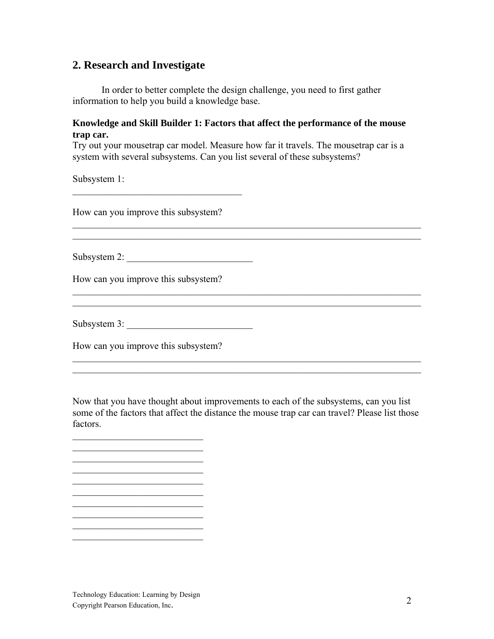### **2. Research and Investigate**

In order to better complete the design challenge, you need to first gather information to help you build a knowledge base.

#### **Knowledge and Skill Builder 1: Factors that affect the performance of the mouse trap car.**

Try out your mousetrap car model. Measure how far it travels. The mousetrap car is a system with several subsystems. Can you list several of these subsystems?

 $\mathcal{L}_\text{max}$  , and the contribution of the contribution of the contribution of the contribution of the contribution of the contribution of the contribution of the contribution of the contribution of the contribution of t  $\mathcal{L}_\text{max} = \mathcal{L}_\text{max} = \mathcal{L}_\text{max} = \mathcal{L}_\text{max} = \mathcal{L}_\text{max} = \mathcal{L}_\text{max} = \mathcal{L}_\text{max} = \mathcal{L}_\text{max} = \mathcal{L}_\text{max} = \mathcal{L}_\text{max} = \mathcal{L}_\text{max} = \mathcal{L}_\text{max} = \mathcal{L}_\text{max} = \mathcal{L}_\text{max} = \mathcal{L}_\text{max} = \mathcal{L}_\text{max} = \mathcal{L}_\text{max} = \mathcal{L}_\text{max} = \mathcal{$ 

 $\mathcal{L}_\text{max} = \mathcal{L}_\text{max} = \mathcal{L}_\text{max} = \mathcal{L}_\text{max} = \mathcal{L}_\text{max} = \mathcal{L}_\text{max} = \mathcal{L}_\text{max} = \mathcal{L}_\text{max} = \mathcal{L}_\text{max} = \mathcal{L}_\text{max} = \mathcal{L}_\text{max} = \mathcal{L}_\text{max} = \mathcal{L}_\text{max} = \mathcal{L}_\text{max} = \mathcal{L}_\text{max} = \mathcal{L}_\text{max} = \mathcal{L}_\text{max} = \mathcal{L}_\text{max} = \mathcal{$  $\mathcal{L}_\text{max}$  , and the contribution of the contribution of the contribution of the contribution of the contribution of the contribution of the contribution of the contribution of the contribution of the contribution of t

Subsystem 1:

How can you improve this subsystem?

 $\mathcal{L}_\text{max}$  , where  $\mathcal{L}_\text{max}$  and  $\mathcal{L}_\text{max}$  and  $\mathcal{L}_\text{max}$ 

Subsystem 2: \_\_\_\_\_\_\_\_\_\_\_\_\_\_\_\_\_\_\_\_\_\_\_\_\_\_

How can you improve this subsystem?

Subsystem 3: \_\_\_\_\_\_\_\_\_\_\_\_\_\_\_\_\_\_\_\_\_\_\_\_\_\_

How can you improve this subsystem?

 $\mathcal{L}_\text{max}$  , where  $\mathcal{L}_\text{max}$  and  $\mathcal{L}_\text{max}$ \_\_\_\_\_\_\_\_\_\_\_\_\_\_\_\_\_\_\_\_\_\_\_\_\_\_\_  $\mathcal{L}_\text{max}$ \_\_\_\_\_\_\_\_\_\_\_\_\_\_\_\_\_\_\_\_\_\_\_\_\_\_\_  $\mathcal{L}_\text{max}$  , where  $\mathcal{L}_\text{max}$  and  $\mathcal{L}_\text{max}$ \_\_\_\_\_\_\_\_\_\_\_\_\_\_\_\_\_\_\_\_\_\_\_\_\_\_\_  $\mathcal{L}_\text{max}$  , where  $\mathcal{L}_\text{max}$  and  $\mathcal{L}_\text{max}$  $\overline{\phantom{a}}$  , which is a set of the set of the set of the set of the set of the set of the set of the set of the set of the set of the set of the set of the set of the set of the set of the set of the set of the set of th  $\mathcal{L}_\text{max}$  , where  $\mathcal{L}_\text{max}$  and  $\mathcal{L}_\text{max}$  $\mathcal{L}_\text{max}$  , where  $\mathcal{L}_\text{max}$  and  $\mathcal{L}_\text{max}$ 

Now that you have thought about improvements to each of the subsystems, can you list some of the factors that affect the distance the mouse trap car can travel? Please list those factors.

 $\mathcal{L}_\text{max}$  , and the contribution of the contribution of the contribution of the contribution of the contribution of the contribution of the contribution of the contribution of the contribution of the contribution of t  $\mathcal{L}_\text{max}$  , and the contribution of the contribution of the contribution of the contribution of the contribution of the contribution of the contribution of the contribution of the contribution of the contribution of t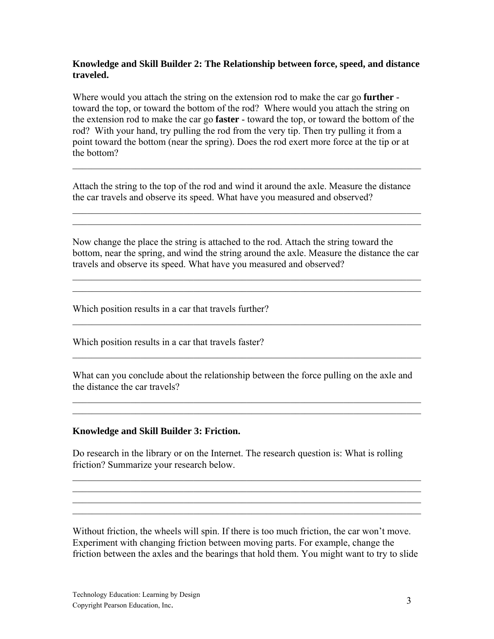#### **Knowledge and Skill Builder 2: The Relationship between force, speed, and distance traveled.**

Where would you attach the string on the extension rod to make the car go **further**  toward the top, or toward the bottom of the rod? Where would you attach the string on the extension rod to make the car go **faster** - toward the top, or toward the bottom of the rod? With your hand, try pulling the rod from the very tip. Then try pulling it from a point toward the bottom (near the spring). Does the rod exert more force at the tip or at the bottom?

Attach the string to the top of the rod and wind it around the axle. Measure the distance the car travels and observe its speed. What have you measured and observed?

 $\mathcal{L}_\text{max}$  , and the contribution of the contribution of the contribution of the contribution of the contribution of the contribution of the contribution of the contribution of the contribution of the contribution of t  $\mathcal{L}_\text{max} = \mathcal{L}_\text{max} = \mathcal{L}_\text{max} = \mathcal{L}_\text{max} = \mathcal{L}_\text{max} = \mathcal{L}_\text{max} = \mathcal{L}_\text{max} = \mathcal{L}_\text{max} = \mathcal{L}_\text{max} = \mathcal{L}_\text{max} = \mathcal{L}_\text{max} = \mathcal{L}_\text{max} = \mathcal{L}_\text{max} = \mathcal{L}_\text{max} = \mathcal{L}_\text{max} = \mathcal{L}_\text{max} = \mathcal{L}_\text{max} = \mathcal{L}_\text{max} = \mathcal{$ 

 $\mathcal{L}_\text{max} = \mathcal{L}_\text{max} = \mathcal{L}_\text{max} = \mathcal{L}_\text{max} = \mathcal{L}_\text{max} = \mathcal{L}_\text{max} = \mathcal{L}_\text{max} = \mathcal{L}_\text{max} = \mathcal{L}_\text{max} = \mathcal{L}_\text{max} = \mathcal{L}_\text{max} = \mathcal{L}_\text{max} = \mathcal{L}_\text{max} = \mathcal{L}_\text{max} = \mathcal{L}_\text{max} = \mathcal{L}_\text{max} = \mathcal{L}_\text{max} = \mathcal{L}_\text{max} = \mathcal{$ 

Now change the place the string is attached to the rod. Attach the string toward the bottom, near the spring, and wind the string around the axle. Measure the distance the car travels and observe its speed. What have you measured and observed?

 $\mathcal{L}_\text{max} = \mathcal{L}_\text{max} = \mathcal{L}_\text{max} = \mathcal{L}_\text{max} = \mathcal{L}_\text{max} = \mathcal{L}_\text{max} = \mathcal{L}_\text{max} = \mathcal{L}_\text{max} = \mathcal{L}_\text{max} = \mathcal{L}_\text{max} = \mathcal{L}_\text{max} = \mathcal{L}_\text{max} = \mathcal{L}_\text{max} = \mathcal{L}_\text{max} = \mathcal{L}_\text{max} = \mathcal{L}_\text{max} = \mathcal{L}_\text{max} = \mathcal{L}_\text{max} = \mathcal{$  $\mathcal{L}_\text{max}$  , and the contribution of the contribution of the contribution of the contribution of the contribution of the contribution of the contribution of the contribution of the contribution of the contribution of t

 $\mathcal{L}_\text{max}$  , and the contribution of the contribution of the contribution of the contribution of the contribution of the contribution of the contribution of the contribution of the contribution of the contribution of t

 $\mathcal{L}_\text{max}$  , and the contribution of the contribution of the contribution of the contribution of the contribution of the contribution of the contribution of the contribution of the contribution of the contribution of t

Which position results in a car that travels further?

Which position results in a car that travels faster?

What can you conclude about the relationship between the force pulling on the axle and the distance the car travels?

 $\mathcal{L}_\text{max}$  , and the contribution of the contribution of the contribution of the contribution of the contribution of the contribution of the contribution of the contribution of the contribution of the contribution of t  $\mathcal{L}_\text{max}$  , and the contribution of the contribution of the contribution of the contribution of the contribution of the contribution of the contribution of the contribution of the contribution of the contribution of t

#### **Knowledge and Skill Builder 3: Friction.**

Do research in the library or on the Internet. The research question is: What is rolling friction? Summarize your research below.

 $\mathcal{L}_\text{max}$  , and the contribution of the contribution of the contribution of the contribution of the contribution of the contribution of the contribution of the contribution of the contribution of the contribution of t  $\mathcal{L}_\text{max} = \mathcal{L}_\text{max} = \mathcal{L}_\text{max} = \mathcal{L}_\text{max} = \mathcal{L}_\text{max} = \mathcal{L}_\text{max} = \mathcal{L}_\text{max} = \mathcal{L}_\text{max} = \mathcal{L}_\text{max} = \mathcal{L}_\text{max} = \mathcal{L}_\text{max} = \mathcal{L}_\text{max} = \mathcal{L}_\text{max} = \mathcal{L}_\text{max} = \mathcal{L}_\text{max} = \mathcal{L}_\text{max} = \mathcal{L}_\text{max} = \mathcal{L}_\text{max} = \mathcal{$  $\mathcal{L}_\text{max}$  , and the contribution of the contribution of the contribution of the contribution of the contribution of the contribution of the contribution of the contribution of the contribution of the contribution of t  $\mathcal{L}_\text{max}$  , and the contribution of the contribution of the contribution of the contribution of the contribution of the contribution of the contribution of the contribution of the contribution of the contribution of t

Without friction, the wheels will spin. If there is too much friction, the car won't move. Experiment with changing friction between moving parts. For example, change the friction between the axles and the bearings that hold them. You might want to try to slide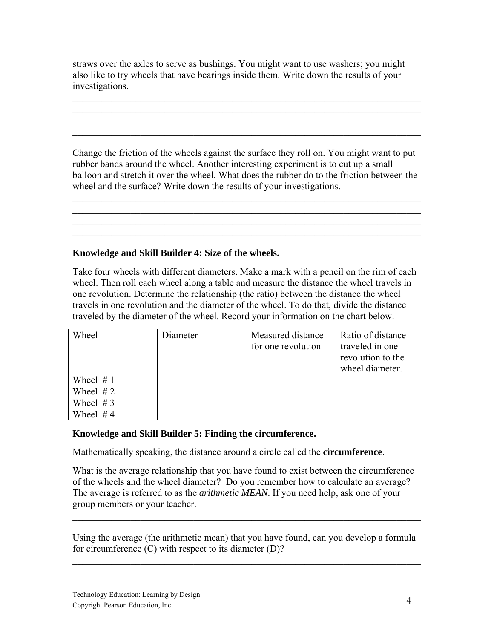straws over the axles to serve as bushings. You might want to use washers; you might also like to try wheels that have bearings inside them. Write down the results of your investigations.

 $\mathcal{L}_\text{max}$  , and the contribution of the contribution of the contribution of the contribution of the contribution of the contribution of the contribution of the contribution of the contribution of the contribution of t  $\mathcal{L}_\text{max} = \mathcal{L}_\text{max} = \mathcal{L}_\text{max} = \mathcal{L}_\text{max} = \mathcal{L}_\text{max} = \mathcal{L}_\text{max} = \mathcal{L}_\text{max} = \mathcal{L}_\text{max} = \mathcal{L}_\text{max} = \mathcal{L}_\text{max} = \mathcal{L}_\text{max} = \mathcal{L}_\text{max} = \mathcal{L}_\text{max} = \mathcal{L}_\text{max} = \mathcal{L}_\text{max} = \mathcal{L}_\text{max} = \mathcal{L}_\text{max} = \mathcal{L}_\text{max} = \mathcal{$  $\mathcal{L}_\text{max}$  , and the contribution of the contribution of the contribution of the contribution of the contribution of the contribution of the contribution of the contribution of the contribution of the contribution of t

Change the friction of the wheels against the surface they roll on. You might want to put rubber bands around the wheel. Another interesting experiment is to cut up a small balloon and stretch it over the wheel. What does the rubber do to the friction between the wheel and the surface? Write down the results of your investigations.

 $\mathcal{L}_\text{max}$  , and the contribution of the contribution of the contribution of the contribution of the contribution of the contribution of the contribution of the contribution of the contribution of the contribution of t  $\mathcal{L}_\text{max}$  , and the contribution of the contribution of the contribution of the contribution of the contribution of the contribution of the contribution of the contribution of the contribution of the contribution of t

 $\mathcal{L}_\text{max}$  , and the contribution of the contribution of the contribution of the contribution of the contribution of the contribution of the contribution of the contribution of the contribution of the contribution of t

#### **Knowledge and Skill Builder 4: Size of the wheels.**

Take four wheels with different diameters. Make a mark with a pencil on the rim of each wheel. Then roll each wheel along a table and measure the distance the wheel travels in one revolution. Determine the relationship (the ratio) between the distance the wheel travels in one revolution and the diameter of the wheel. To do that, divide the distance traveled by the diameter of the wheel. Record your information on the chart below.

| Wheel       | Diameter | Measured distance  | Ratio of distance |
|-------------|----------|--------------------|-------------------|
|             |          | for one revolution | traveled in one   |
|             |          |                    | revolution to the |
|             |          |                    | wheel diameter.   |
| Wheel $# 1$ |          |                    |                   |
| Wheel $#2$  |          |                    |                   |
| Wheel $# 3$ |          |                    |                   |
| Wheel $#4$  |          |                    |                   |

### **Knowledge and Skill Builder 5: Finding the circumference.**

Mathematically speaking, the distance around a circle called the **circumference**.

What is the average relationship that you have found to exist between the circumference of the wheels and the wheel diameter? Do you remember how to calculate an average? The average is referred to as the *arithmetic MEAN*. If you need help, ask one of your group members or your teacher.

Using the average (the arithmetic mean) that you have found, can you develop a formula for circumference (C) with respect to its diameter (D)?

 $\mathcal{L}_\text{max}$  , and the contribution of the contribution of the contribution of the contribution of the contribution of the contribution of the contribution of the contribution of the contribution of the contribution of t

 $\mathcal{L}_\text{max} = \mathcal{L}_\text{max} = \mathcal{L}_\text{max} = \mathcal{L}_\text{max} = \mathcal{L}_\text{max} = \mathcal{L}_\text{max} = \mathcal{L}_\text{max} = \mathcal{L}_\text{max} = \mathcal{L}_\text{max} = \mathcal{L}_\text{max} = \mathcal{L}_\text{max} = \mathcal{L}_\text{max} = \mathcal{L}_\text{max} = \mathcal{L}_\text{max} = \mathcal{L}_\text{max} = \mathcal{L}_\text{max} = \mathcal{L}_\text{max} = \mathcal{L}_\text{max} = \mathcal{$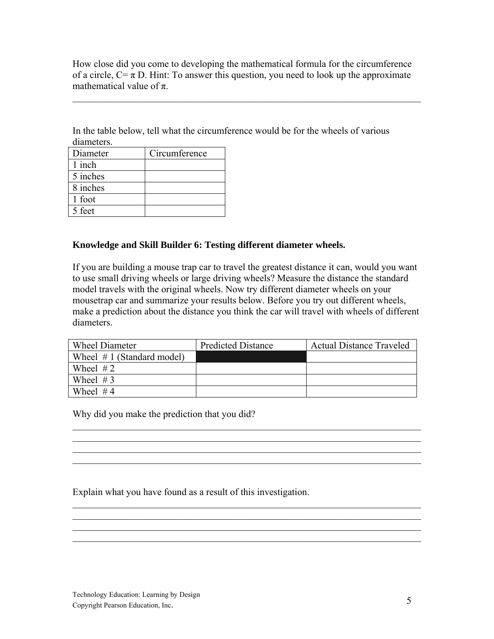How close did you come to developing the mathematical formula for the circumference of a circle,  $C = \pi D$ . Hint: To answer this question, you need to look up the approximate mathematical value of  $\pi$ .

 $\mathcal{L}_\text{max}$  , and the contribution of the contribution of the contribution of the contribution of the contribution of the contribution of the contribution of the contribution of the contribution of the contribution of t

In the table below, tell what the circumference would be for the wheels of various diameters.

| Diameter | Circumference |
|----------|---------------|
| 1 inch   |               |
| 5 inches |               |
| 8 inches |               |
| 1 foot   |               |
| 5 feet   |               |

#### **Knowledge and Skill Builder 6: Testing different diameter wheels.**

If you are building a mouse trap car to travel the greatest distance it can, would you want to use small driving wheels or large driving wheels? Measure the distance the standard model travels with the original wheels. Now try different diameter wheels on your mousetrap car and summarize your results below. Before you try out different wheels, make a prediction about the distance you think the car will travel with wheels of different diameters.

| <b>Wheel Diameter</b>        | <b>Predicted Distance</b> | <b>Actual Distance Traveled</b> |
|------------------------------|---------------------------|---------------------------------|
| Wheel $# 1$ (Standard model) |                           |                                 |
| Wheel $#2$                   |                           |                                 |
| Wheel $#3$                   |                           |                                 |
| Wheel $#4$                   |                           |                                 |

 $\mathcal{L}_\text{max}$  , and the contribution of the contribution of the contribution of the contribution of the contribution of the contribution of the contribution of the contribution of the contribution of the contribution of t  $\mathcal{L}_\text{max}$  , and the contribution of the contribution of the contribution of the contribution of the contribution of the contribution of the contribution of the contribution of the contribution of the contribution of t  $\mathcal{L}_\text{max}$  , and the contribution of the contribution of the contribution of the contribution of the contribution of the contribution of the contribution of the contribution of the contribution of the contribution of t

 $\mathcal{L}_\text{max}$  , and the contribution of the contribution of the contribution of the contribution of the contribution of the contribution of the contribution of the contribution of the contribution of the contribution of t  $\mathcal{L}_\text{max} = \mathcal{L}_\text{max} = \mathcal{L}_\text{max} = \mathcal{L}_\text{max} = \mathcal{L}_\text{max} = \mathcal{L}_\text{max} = \mathcal{L}_\text{max} = \mathcal{L}_\text{max} = \mathcal{L}_\text{max} = \mathcal{L}_\text{max} = \mathcal{L}_\text{max} = \mathcal{L}_\text{max} = \mathcal{L}_\text{max} = \mathcal{L}_\text{max} = \mathcal{L}_\text{max} = \mathcal{L}_\text{max} = \mathcal{L}_\text{max} = \mathcal{L}_\text{max} = \mathcal{$  $\mathcal{L}_\text{max} = \mathcal{L}_\text{max} = \mathcal{L}_\text{max} = \mathcal{L}_\text{max} = \mathcal{L}_\text{max} = \mathcal{L}_\text{max} = \mathcal{L}_\text{max} = \mathcal{L}_\text{max} = \mathcal{L}_\text{max} = \mathcal{L}_\text{max} = \mathcal{L}_\text{max} = \mathcal{L}_\text{max} = \mathcal{L}_\text{max} = \mathcal{L}_\text{max} = \mathcal{L}_\text{max} = \mathcal{L}_\text{max} = \mathcal{L}_\text{max} = \mathcal{L}_\text{max} = \mathcal{$  $\mathcal{L}_\text{max}$  , and the contribution of the contribution of the contribution of the contribution of the contribution of the contribution of the contribution of the contribution of the contribution of the contribution of t

 $\mathcal{L}_\text{max} = \mathcal{L}_\text{max} = \mathcal{L}_\text{max} = \mathcal{L}_\text{max} = \mathcal{L}_\text{max} = \mathcal{L}_\text{max} = \mathcal{L}_\text{max} = \mathcal{L}_\text{max} = \mathcal{L}_\text{max} = \mathcal{L}_\text{max} = \mathcal{L}_\text{max} = \mathcal{L}_\text{max} = \mathcal{L}_\text{max} = \mathcal{L}_\text{max} = \mathcal{L}_\text{max} = \mathcal{L}_\text{max} = \mathcal{L}_\text{max} = \mathcal{L}_\text{max} = \mathcal{$ 

Why did you make the prediction that you did?

Explain what you have found as a result of this investigation.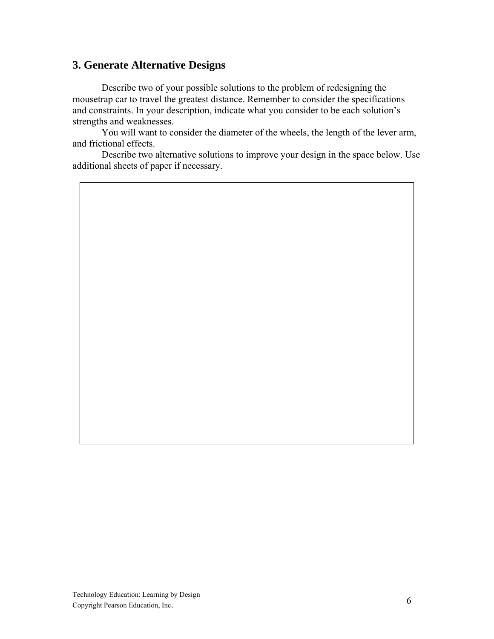## **3. Generate Alternative Designs**

 Describe two of your possible solutions to the problem of redesigning the mousetrap car to travel the greatest distance. Remember to consider the specifications and constraints. In your description, indicate what you consider to be each solution's strengths and weaknesses.

 You will want to consider the diameter of the wheels, the length of the lever arm, and frictional effects.

 Describe two alternative solutions to improve your design in the space below. Use additional sheets of paper if necessary.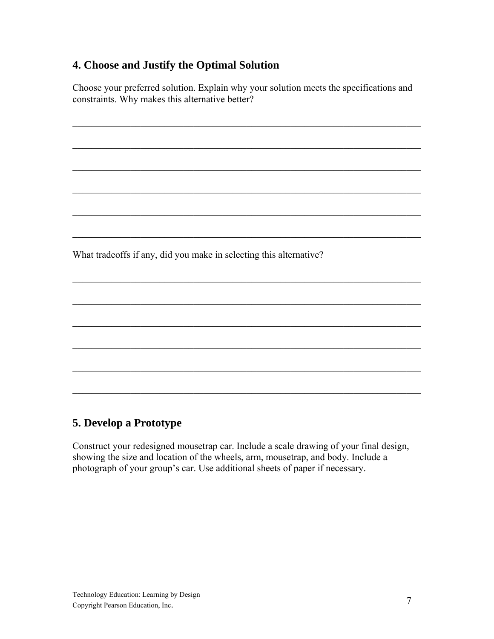# **4. Choose and Justify the Optimal Solution**

Choose your preferred solution. Explain why your solution meets the specifications and constraints. Why makes this alternative better?

 $\mathcal{L}_\text{max} = \mathcal{L}_\text{max} = \mathcal{L}_\text{max} = \mathcal{L}_\text{max} = \mathcal{L}_\text{max} = \mathcal{L}_\text{max} = \mathcal{L}_\text{max} = \mathcal{L}_\text{max} = \mathcal{L}_\text{max} = \mathcal{L}_\text{max} = \mathcal{L}_\text{max} = \mathcal{L}_\text{max} = \mathcal{L}_\text{max} = \mathcal{L}_\text{max} = \mathcal{L}_\text{max} = \mathcal{L}_\text{max} = \mathcal{L}_\text{max} = \mathcal{L}_\text{max} = \mathcal{$ 

 $\mathcal{L}_\text{max}$  , and the contribution of the contribution of the contribution of the contribution of the contribution of the contribution of the contribution of the contribution of the contribution of the contribution of t

 $\mathcal{L}_\text{max} = \mathcal{L}_\text{max} = \mathcal{L}_\text{max} = \mathcal{L}_\text{max} = \mathcal{L}_\text{max} = \mathcal{L}_\text{max} = \mathcal{L}_\text{max} = \mathcal{L}_\text{max} = \mathcal{L}_\text{max} = \mathcal{L}_\text{max} = \mathcal{L}_\text{max} = \mathcal{L}_\text{max} = \mathcal{L}_\text{max} = \mathcal{L}_\text{max} = \mathcal{L}_\text{max} = \mathcal{L}_\text{max} = \mathcal{L}_\text{max} = \mathcal{L}_\text{max} = \mathcal{$ 

 $\mathcal{L}_\text{max}$  , and the contribution of the contribution of the contribution of the contribution of the contribution of the contribution of the contribution of the contribution of the contribution of the contribution of t

 $\mathcal{L}_\text{max}$  , and the contribution of the contribution of the contribution of the contribution of the contribution of the contribution of the contribution of the contribution of the contribution of the contribution of t

 $\mathcal{L}_\text{max} = \mathcal{L}_\text{max} = \mathcal{L}_\text{max} = \mathcal{L}_\text{max} = \mathcal{L}_\text{max} = \mathcal{L}_\text{max} = \mathcal{L}_\text{max} = \mathcal{L}_\text{max} = \mathcal{L}_\text{max} = \mathcal{L}_\text{max} = \mathcal{L}_\text{max} = \mathcal{L}_\text{max} = \mathcal{L}_\text{max} = \mathcal{L}_\text{max} = \mathcal{L}_\text{max} = \mathcal{L}_\text{max} = \mathcal{L}_\text{max} = \mathcal{L}_\text{max} = \mathcal{$ 

 $\mathcal{L}_\text{max} = \mathcal{L}_\text{max} = \mathcal{L}_\text{max} = \mathcal{L}_\text{max} = \mathcal{L}_\text{max} = \mathcal{L}_\text{max} = \mathcal{L}_\text{max} = \mathcal{L}_\text{max} = \mathcal{L}_\text{max} = \mathcal{L}_\text{max} = \mathcal{L}_\text{max} = \mathcal{L}_\text{max} = \mathcal{L}_\text{max} = \mathcal{L}_\text{max} = \mathcal{L}_\text{max} = \mathcal{L}_\text{max} = \mathcal{L}_\text{max} = \mathcal{L}_\text{max} = \mathcal{$ 

 $\mathcal{L}_\text{max}$  , and the contribution of the contribution of the contribution of the contribution of the contribution of the contribution of the contribution of the contribution of the contribution of the contribution of t

 $\mathcal{L}_\text{max}$  , and the contribution of the contribution of the contribution of the contribution of the contribution of the contribution of the contribution of the contribution of the contribution of the contribution of t

 $\mathcal{L}_\text{max} = \mathcal{L}_\text{max} = \mathcal{L}_\text{max} = \mathcal{L}_\text{max} = \mathcal{L}_\text{max} = \mathcal{L}_\text{max} = \mathcal{L}_\text{max} = \mathcal{L}_\text{max} = \mathcal{L}_\text{max} = \mathcal{L}_\text{max} = \mathcal{L}_\text{max} = \mathcal{L}_\text{max} = \mathcal{L}_\text{max} = \mathcal{L}_\text{max} = \mathcal{L}_\text{max} = \mathcal{L}_\text{max} = \mathcal{L}_\text{max} = \mathcal{L}_\text{max} = \mathcal{$ 

 $\mathcal{L}_\text{max}$  , and the contribution of the contribution of the contribution of the contribution of the contribution of the contribution of the contribution of the contribution of the contribution of the contribution of t

 $\mathcal{L}_\text{max} = \mathcal{L}_\text{max} = \mathcal{L}_\text{max} = \mathcal{L}_\text{max} = \mathcal{L}_\text{max} = \mathcal{L}_\text{max} = \mathcal{L}_\text{max} = \mathcal{L}_\text{max} = \mathcal{L}_\text{max} = \mathcal{L}_\text{max} = \mathcal{L}_\text{max} = \mathcal{L}_\text{max} = \mathcal{L}_\text{max} = \mathcal{L}_\text{max} = \mathcal{L}_\text{max} = \mathcal{L}_\text{max} = \mathcal{L}_\text{max} = \mathcal{L}_\text{max} = \mathcal{$ 

What tradeoffs if any, did you make in selecting this alternative?

# **5. Develop a Prototype**

Construct your redesigned mousetrap car. Include a scale drawing of your final design, showing the size and location of the wheels, arm, mousetrap, and body. Include a photograph of your group's car. Use additional sheets of paper if necessary.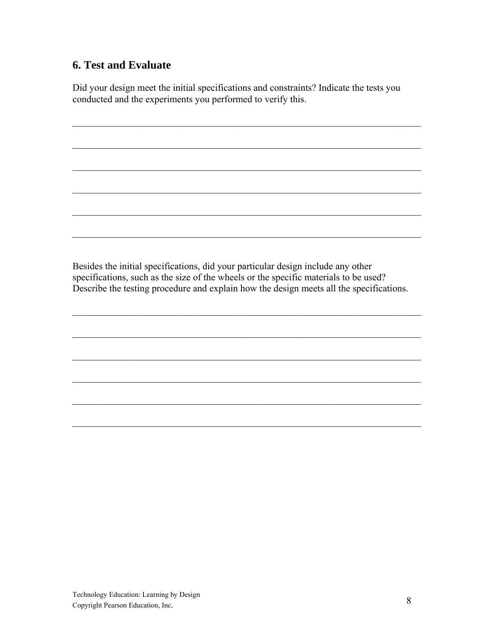## **6. Test and Evaluate**

Did your design meet the initial specifications and constraints? Indicate the tests you conducted and the experiments you performed to verify this.

 $\mathcal{L}_\text{max} = \mathcal{L}_\text{max} = \mathcal{L}_\text{max} = \mathcal{L}_\text{max} = \mathcal{L}_\text{max} = \mathcal{L}_\text{max} = \mathcal{L}_\text{max} = \mathcal{L}_\text{max} = \mathcal{L}_\text{max} = \mathcal{L}_\text{max} = \mathcal{L}_\text{max} = \mathcal{L}_\text{max} = \mathcal{L}_\text{max} = \mathcal{L}_\text{max} = \mathcal{L}_\text{max} = \mathcal{L}_\text{max} = \mathcal{L}_\text{max} = \mathcal{L}_\text{max} = \mathcal{$ 

 $\mathcal{L}_\text{max}$  , and the contribution of the contribution of the contribution of the contribution of the contribution of the contribution of the contribution of the contribution of the contribution of the contribution of t

 $\mathcal{L}_\text{max} = \mathcal{L}_\text{max} = \mathcal{L}_\text{max} = \mathcal{L}_\text{max} = \mathcal{L}_\text{max} = \mathcal{L}_\text{max} = \mathcal{L}_\text{max} = \mathcal{L}_\text{max} = \mathcal{L}_\text{max} = \mathcal{L}_\text{max} = \mathcal{L}_\text{max} = \mathcal{L}_\text{max} = \mathcal{L}_\text{max} = \mathcal{L}_\text{max} = \mathcal{L}_\text{max} = \mathcal{L}_\text{max} = \mathcal{L}_\text{max} = \mathcal{L}_\text{max} = \mathcal{$ 

 $\mathcal{L}_\text{max}$  , and the contribution of the contribution of the contribution of the contribution of the contribution of the contribution of the contribution of the contribution of the contribution of the contribution of t

 $\mathcal{L}_\text{max}$  , and the contribution of the contribution of the contribution of the contribution of the contribution of the contribution of the contribution of the contribution of the contribution of the contribution of t

 $\mathcal{L}_\text{max} = \mathcal{L}_\text{max} = \mathcal{L}_\text{max} = \mathcal{L}_\text{max} = \mathcal{L}_\text{max} = \mathcal{L}_\text{max} = \mathcal{L}_\text{max} = \mathcal{L}_\text{max} = \mathcal{L}_\text{max} = \mathcal{L}_\text{max} = \mathcal{L}_\text{max} = \mathcal{L}_\text{max} = \mathcal{L}_\text{max} = \mathcal{L}_\text{max} = \mathcal{L}_\text{max} = \mathcal{L}_\text{max} = \mathcal{L}_\text{max} = \mathcal{L}_\text{max} = \mathcal{$ 

Besides the initial specifications, did your particular design include any other specifications, such as the size of the wheels or the specific materials to be used? Describe the testing procedure and explain how the design meets all the specifications.

 $\mathcal{L}_\text{max}$  , and the contribution of the contribution of the contribution of the contribution of the contribution of the contribution of the contribution of the contribution of the contribution of the contribution of t

 $\mathcal{L}_\text{max} = \mathcal{L}_\text{max} = \mathcal{L}_\text{max} = \mathcal{L}_\text{max} = \mathcal{L}_\text{max} = \mathcal{L}_\text{max} = \mathcal{L}_\text{max} = \mathcal{L}_\text{max} = \mathcal{L}_\text{max} = \mathcal{L}_\text{max} = \mathcal{L}_\text{max} = \mathcal{L}_\text{max} = \mathcal{L}_\text{max} = \mathcal{L}_\text{max} = \mathcal{L}_\text{max} = \mathcal{L}_\text{max} = \mathcal{L}_\text{max} = \mathcal{L}_\text{max} = \mathcal{$ 

 $\mathcal{L}_\text{max}$  , and the contribution of the contribution of the contribution of the contribution of the contribution of the contribution of the contribution of the contribution of the contribution of the contribution of t

 $\mathcal{L}_\text{max}$  , and the contribution of the contribution of the contribution of the contribution of the contribution of the contribution of the contribution of the contribution of the contribution of the contribution of t

 $\mathcal{L}_\text{max} = \mathcal{L}_\text{max} = \mathcal{L}_\text{max} = \mathcal{L}_\text{max} = \mathcal{L}_\text{max} = \mathcal{L}_\text{max} = \mathcal{L}_\text{max} = \mathcal{L}_\text{max} = \mathcal{L}_\text{max} = \mathcal{L}_\text{max} = \mathcal{L}_\text{max} = \mathcal{L}_\text{max} = \mathcal{L}_\text{max} = \mathcal{L}_\text{max} = \mathcal{L}_\text{max} = \mathcal{L}_\text{max} = \mathcal{L}_\text{max} = \mathcal{L}_\text{max} = \mathcal{$ 

 $\mathcal{L}_\text{max}$  , and the contribution of the contribution of the contribution of the contribution of the contribution of the contribution of the contribution of the contribution of the contribution of the contribution of t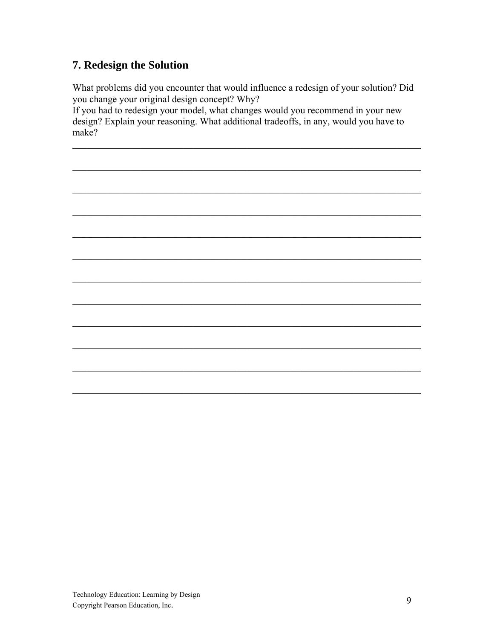# 7. Redesign the Solution

What problems did you encounter that would influence a redesign of your solution? Did you change your original design concept? Why?

If you had to redesign your model, what changes would you recommend in your new design? Explain your reasoning. What additional tradeoffs, in any, would you have to make?

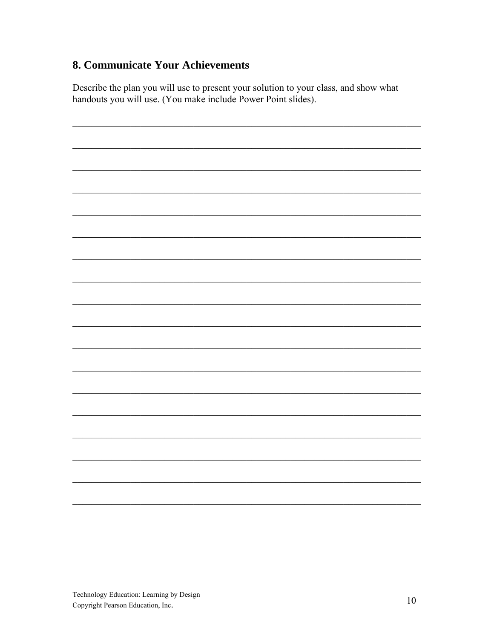# 8. Communicate Your Achievements

Describe the plan you will use to present your solution to your class, and show what handouts you will use. (You make include Power Point slides).